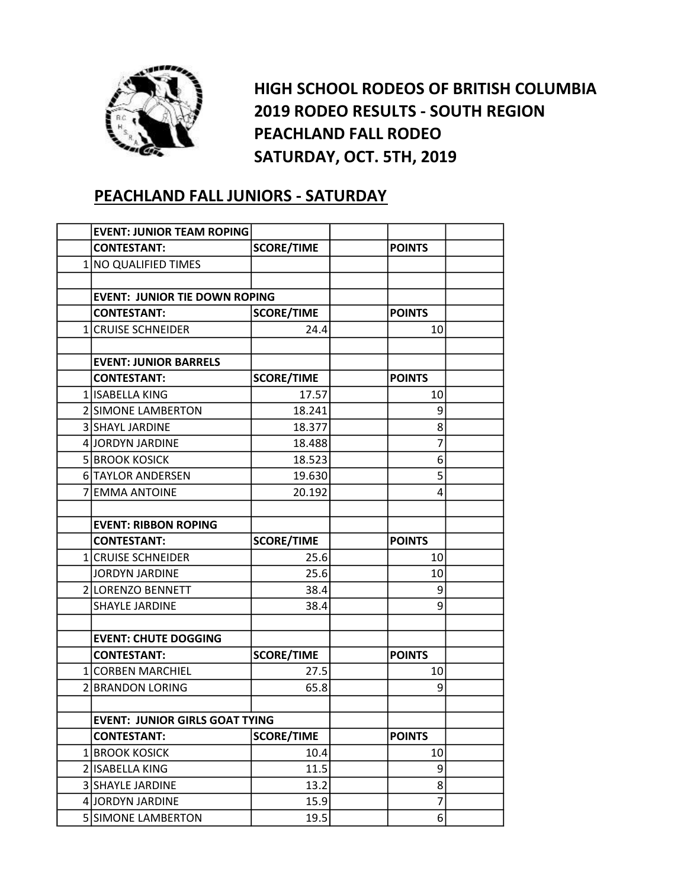

HIGH SCHOOL RODEOS OF BRITISH COLUMBIA 2019 RODEO RESULTS - SOUTH REGION PEACHLAND FALL RODEO SATURDAY, OCT. 5TH, 2019

## PEACHLAND FALL JUNIORS - SATURDAY

| <b>EVENT: JUNIOR TEAM ROPING</b>      |                   |                |  |
|---------------------------------------|-------------------|----------------|--|
| <b>CONTESTANT:</b>                    | <b>SCORE/TIME</b> | <b>POINTS</b>  |  |
| 1 NO QUALIFIED TIMES                  |                   |                |  |
|                                       |                   |                |  |
| <b>EVENT: JUNIOR TIE DOWN ROPING</b>  |                   |                |  |
| <b>CONTESTANT:</b>                    | <b>SCORE/TIME</b> | <b>POINTS</b>  |  |
| 1 CRUISE SCHNEIDER                    | 24.4              | 10             |  |
|                                       |                   |                |  |
| <b>EVENT: JUNIOR BARRELS</b>          |                   |                |  |
| <b>CONTESTANT:</b>                    | <b>SCORE/TIME</b> | <b>POINTS</b>  |  |
| 1 ISABELLA KING                       | 17.57             | 10             |  |
| 2 SIMONE LAMBERTON                    | 18.241            | 9              |  |
| 3 SHAYL JARDINE                       | 18.377            | 8              |  |
| 4 JORDYN JARDINE                      | 18.488            | 7              |  |
| <b>5 BROOK KOSICK</b>                 | 18.523            | 6              |  |
| 6 TAYLOR ANDERSEN                     | 19.630            | 5              |  |
| 7 EMMA ANTOINE                        | 20.192            | 4              |  |
|                                       |                   |                |  |
| <b>EVENT: RIBBON ROPING</b>           |                   |                |  |
| <b>CONTESTANT:</b>                    | <b>SCORE/TIME</b> | <b>POINTS</b>  |  |
| 1 CRUISE SCHNEIDER                    | 25.6              | 10             |  |
| <b>JORDYN JARDINE</b>                 | 25.6              | 10             |  |
| 2 LORENZO BENNETT                     | 38.4              | 9              |  |
| <b>SHAYLE JARDINE</b>                 | 38.4              | 9              |  |
|                                       |                   |                |  |
| <b>EVENT: CHUTE DOGGING</b>           |                   |                |  |
| <b>CONTESTANT:</b>                    | <b>SCORE/TIME</b> | <b>POINTS</b>  |  |
| 1 CORBEN MARCHIEL                     | 27.5              | 10             |  |
| 2 BRANDON LORING                      | 65.8              | 9              |  |
|                                       |                   |                |  |
| <b>EVENT: JUNIOR GIRLS GOAT TYING</b> |                   |                |  |
| <b>CONTESTANT:</b>                    | <b>SCORE/TIME</b> | <b>POINTS</b>  |  |
| 1 BROOK KOSICK                        | 10.4              | 10             |  |
| 2 ISABELLA KING                       | 11.5              | 9              |  |
| 3 SHAYLE JARDINE                      | 13.2              | 8              |  |
|                                       |                   |                |  |
| 4 JORDYN JARDINE                      | 15.9              | $\overline{7}$ |  |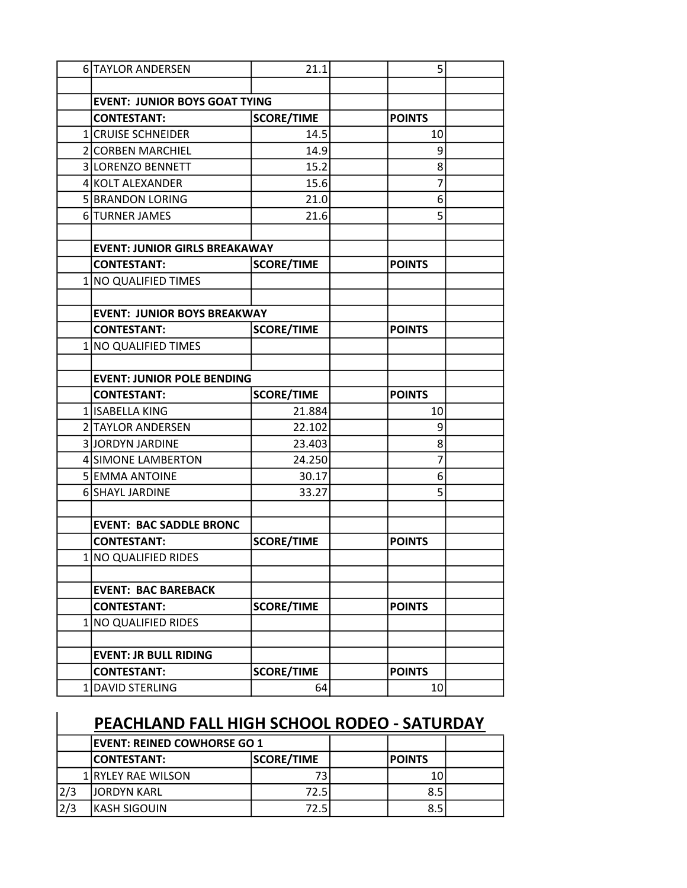| 6 TAYLOR ANDERSEN                    | 21.1              | 5             |  |
|--------------------------------------|-------------------|---------------|--|
|                                      |                   |               |  |
| <b>EVENT: JUNIOR BOYS GOAT TYING</b> |                   |               |  |
| <b>CONTESTANT:</b>                   | <b>SCORE/TIME</b> | <b>POINTS</b> |  |
| 1 CRUISE SCHNEIDER                   | 14.5              | 10            |  |
| 2 CORBEN MARCHIEL                    | 14.9              | 9             |  |
| 3 LORENZO BENNETT                    | 15.2              | 8             |  |
| 4 KOLT ALEXANDER                     | 15.6              | 7             |  |
| 5 BRANDON LORING                     | 21.0              | 6             |  |
| 6 TURNER JAMES                       | 21.6              | 5             |  |
|                                      |                   |               |  |
| <b>EVENT: JUNIOR GIRLS BREAKAWAY</b> |                   |               |  |
| <b>CONTESTANT:</b>                   | <b>SCORE/TIME</b> | <b>POINTS</b> |  |
| 1 NO QUALIFIED TIMES                 |                   |               |  |
|                                      |                   |               |  |
| <b>EVENT: JUNIOR BOYS BREAKWAY</b>   |                   |               |  |
| <b>CONTESTANT:</b>                   | <b>SCORE/TIME</b> | <b>POINTS</b> |  |
| 1 NO QUALIFIED TIMES                 |                   |               |  |
|                                      |                   |               |  |
| <b>EVENT: JUNIOR POLE BENDING</b>    |                   |               |  |
| <b>CONTESTANT:</b>                   | <b>SCORE/TIME</b> | <b>POINTS</b> |  |
| 1 ISABELLA KING                      | 21.884            | 10            |  |
| 2 TAYLOR ANDERSEN                    | 22.102            | 9             |  |
| 3JORDYN JARDINE                      | 23.403            | 8             |  |
| 4 SIMONE LAMBERTON                   | 24.250            | 7             |  |
| 5 EMMA ANTOINE                       | 30.17             | 6             |  |
| 6 SHAYL JARDINE                      | 33.27             | 5             |  |
|                                      |                   |               |  |
| <b>EVENT: BAC SADDLE BRONC</b>       |                   |               |  |
| <b>CONTESTANT:</b>                   | <b>SCORE/TIME</b> | <b>POINTS</b> |  |
| 1 NO QUALIFIED RIDES                 |                   |               |  |
|                                      |                   |               |  |
| <b>EVENT: BAC BAREBACK</b>           |                   |               |  |
| <b>CONTESTANT:</b>                   | <b>SCORE/TIME</b> | <b>POINTS</b> |  |
| 1 NO QUALIFIED RIDES                 |                   |               |  |
|                                      |                   |               |  |
| <b>EVENT: JR BULL RIDING</b>         |                   |               |  |
| <b>CONTESTANT:</b>                   | <b>SCORE/TIME</b> | <b>POINTS</b> |  |
| 1 DAVID STERLING                     | 64                | 10            |  |

## PEACHLAND FALL HIGH SCHOOL RODEO - SATURDAY

|     | <b>IEVENT: REINED COWHORSE GO 1</b> |                   |                |  |
|-----|-------------------------------------|-------------------|----------------|--|
|     | <b>ICONTESTANT:</b>                 | <b>SCORE/TIME</b> | <b>IPOINTS</b> |  |
|     | 1 RYLEY RAE WILSON                  | 73                | 10             |  |
| 2/3 | <b>JJORDYN KARL</b>                 | 72.5              | 8.5            |  |
| 2/3 | IKASH SIGOUIN                       | 72.5              | 8.5            |  |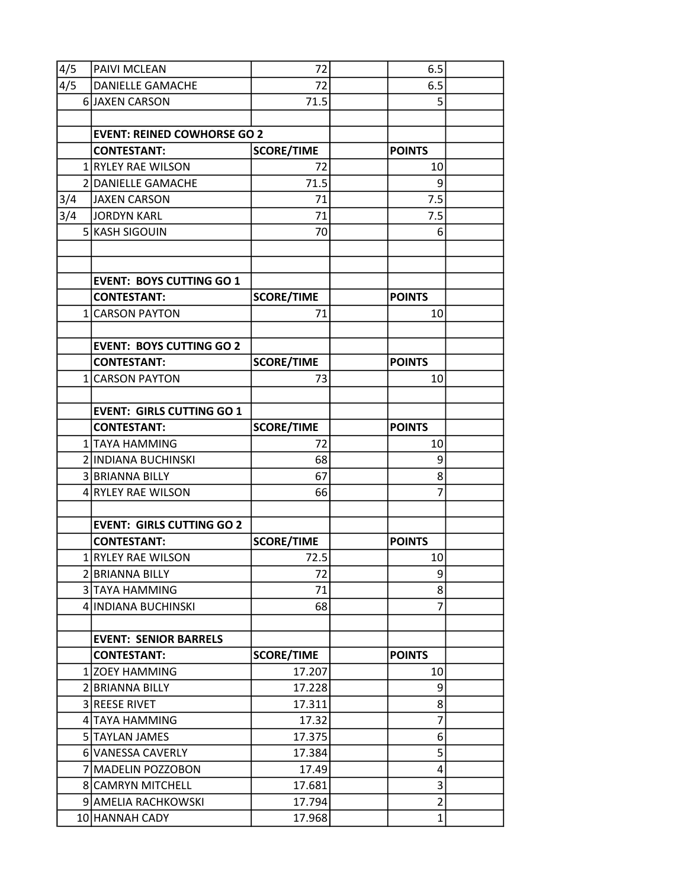| 4/5 | PAIVI MCLEAN                         | 72                |               | 6.5                 |  |
|-----|--------------------------------------|-------------------|---------------|---------------------|--|
| 4/5 | <b>DANIELLE GAMACHE</b>              | 72                |               | 6.5                 |  |
|     | 6 JAXEN CARSON                       | 71.5              |               | 5                   |  |
|     |                                      |                   |               |                     |  |
|     | <b>EVENT: REINED COWHORSE GO 2</b>   |                   |               |                     |  |
|     | <b>CONTESTANT:</b>                   | <b>SCORE/TIME</b> | <b>POINTS</b> |                     |  |
|     | 1 RYLEY RAE WILSON                   | 72                |               | 10                  |  |
|     | 2 DANIELLE GAMACHE                   | 71.5              |               | 9                   |  |
| 3/4 | JAXEN CARSON                         | 71                |               | 7.5                 |  |
| 3/4 | JORDYN KARL                          | 71                |               | 7.5                 |  |
|     | 5 KASH SIGOUIN                       | 70                |               | 6                   |  |
|     |                                      |                   |               |                     |  |
|     |                                      |                   |               |                     |  |
|     | <b>EVENT: BOYS CUTTING GO 1</b>      |                   |               |                     |  |
|     | <b>CONTESTANT:</b>                   | <b>SCORE/TIME</b> | <b>POINTS</b> |                     |  |
|     | 1 CARSON PAYTON                      | 71                |               | 10                  |  |
|     |                                      |                   |               |                     |  |
|     | <b>EVENT: BOYS CUTTING GO 2</b>      |                   |               |                     |  |
|     | <b>CONTESTANT:</b>                   | <b>SCORE/TIME</b> | <b>POINTS</b> |                     |  |
|     | 1 CARSON PAYTON                      | 73                |               | 10                  |  |
|     |                                      |                   |               |                     |  |
|     | <b>EVENT: GIRLS CUTTING GO 1</b>     |                   |               |                     |  |
|     | <b>CONTESTANT:</b>                   | <b>SCORE/TIME</b> | <b>POINTS</b> |                     |  |
|     | 1 TAYA HAMMING                       | 72                |               | 10                  |  |
|     | 2 INDIANA BUCHINSKI                  | 68                |               | 9                   |  |
|     | 3 BRIANNA BILLY                      | 67                |               | 8                   |  |
|     | 4 RYLEY RAE WILSON                   | 66                |               | 7                   |  |
|     |                                      |                   |               |                     |  |
|     | <b>EVENT: GIRLS CUTTING GO 2</b>     |                   |               |                     |  |
|     | <b>CONTESTANT:</b>                   | <b>SCORE/TIME</b> | <b>POINTS</b> |                     |  |
|     | 1 RYLEY RAE WILSON                   | 72.5              |               | 10 <sup>1</sup>     |  |
|     | 2 BRIANNA BILLY                      | 72                |               | 9                   |  |
|     | 3 TAYA HAMMING                       | 71                |               | 8                   |  |
|     | 4 INDIANA BUCHINSKI                  | 68                |               | 7                   |  |
|     |                                      |                   |               |                     |  |
|     | <b>EVENT: SENIOR BARRELS</b>         |                   |               |                     |  |
|     | <b>CONTESTANT:</b><br>1 ZOEY HAMMING | <b>SCORE/TIME</b> | <b>POINTS</b> | 10                  |  |
|     | 2 BRIANNA BILLY                      | 17.207            |               |                     |  |
|     | <b>3 REESE RIVET</b>                 | 17.228<br>17.311  |               | 9<br>8              |  |
|     |                                      |                   |               | 7                   |  |
|     | 4 TAYA HAMMING                       | 17.32             |               |                     |  |
|     | 5 TAYLAN JAMES                       | 17.375            |               | 6<br>5              |  |
|     | 6 VANESSA CAVERLY                    | 17.384            |               |                     |  |
|     | 7 MADELIN POZZOBON                   | 17.49             |               | 4                   |  |
|     | 8 CAMRYN MITCHELL                    | 17.681            |               | 3<br>$\overline{2}$ |  |
|     | 9 AMELIA RACHKOWSKI                  | 17.794            |               |                     |  |
|     | 10 HANNAH CADY                       | 17.968            |               | $\mathbf{1}$        |  |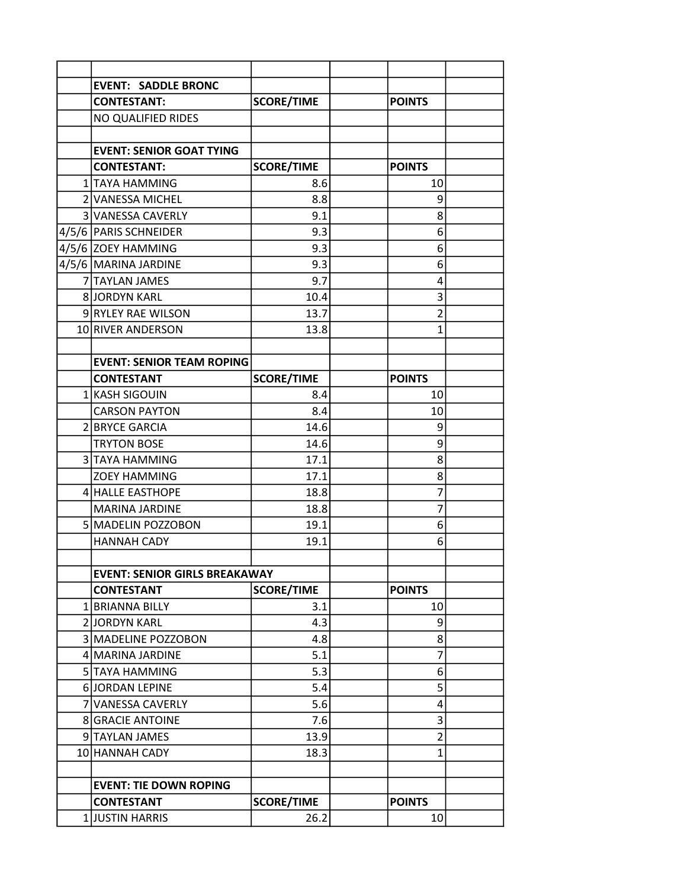| <b>EVENT: SADDLE BRONC</b>           |                   |                |  |
|--------------------------------------|-------------------|----------------|--|
| <b>CONTESTANT:</b>                   | <b>SCORE/TIME</b> | <b>POINTS</b>  |  |
| NO QUALIFIED RIDES                   |                   |                |  |
|                                      |                   |                |  |
| <b>EVENT: SENIOR GOAT TYING</b>      |                   |                |  |
| <b>CONTESTANT:</b>                   | <b>SCORE/TIME</b> | <b>POINTS</b>  |  |
| 1 TAYA HAMMING                       | 8.6               | 10             |  |
| 2 VANESSA MICHEL                     | 8.8               | 9              |  |
| <b>3 VANESSA CAVERLY</b>             | 9.1               | 8              |  |
| 4/5/6   PARIS SCHNEIDER              | 9.3               | 6              |  |
| 4/5/6 ZOEY HAMMING                   | 9.3               | 6              |  |
| 4/5/6   MARINA JARDINE               | 9.3               | 6              |  |
| 7 TAYLAN JAMES                       | 9.7               | 4              |  |
| <b>8 JORDYN KARL</b>                 | 10.4              | 3              |  |
| 9 RYLEY RAE WILSON                   | 13.7              | $\overline{2}$ |  |
| 10 RIVER ANDERSON                    | 13.8              | 1              |  |
|                                      |                   |                |  |
| <b>EVENT: SENIOR TEAM ROPING</b>     |                   |                |  |
| <b>CONTESTANT</b>                    | <b>SCORE/TIME</b> | <b>POINTS</b>  |  |
| 1 KASH SIGOUIN                       | 8.4               | 10             |  |
| <b>CARSON PAYTON</b>                 | 8.4               | 10             |  |
| 2 BRYCE GARCIA                       | 14.6              | 9              |  |
| <b>TRYTON BOSE</b>                   | 14.6              | 9              |  |
| 3 TAYA HAMMING                       | 17.1              | 8              |  |
| <b>ZOEY HAMMING</b>                  | 17.1              | 8              |  |
| 4 HALLE EASTHOPE                     | 18.8              | 7              |  |
| <b>MARINA JARDINE</b>                | 18.8              | 7              |  |
| 5 MADELIN POZZOBON                   | 19.1              | 6              |  |
| <b>HANNAH CADY</b>                   | 19.1              | 6              |  |
|                                      |                   |                |  |
| <b>EVENT: SENIOR GIRLS BREAKAWAY</b> |                   |                |  |
| <b>CONTESTANT</b>                    | <b>SCORE/TIME</b> | <b>POINTS</b>  |  |
| 1 BRIANNA BILLY                      | 3.1               | 10             |  |
| 2 JORDYN KARL                        | 4.3               | 9              |  |
| 3 MADELINE POZZOBON                  | 4.8               | 8              |  |
| 4 MARINA JARDINE                     | 5.1               | 7              |  |
| 5 TAYA HAMMING                       | 5.3               | 6              |  |
| 6 JORDAN LEPINE                      | 5.4               | 5              |  |
| 7 VANESSA CAVERLY                    | 5.6               | 4              |  |
| <b>8 GRACIE ANTOINE</b>              | 7.6               | 3              |  |
| 9 TAYLAN JAMES                       | 13.9              | $\overline{2}$ |  |
| 10 HANNAH CADY                       | 18.3              | 1              |  |
|                                      |                   |                |  |
| <b>EVENT: TIE DOWN ROPING</b>        |                   |                |  |
| <b>CONTESTANT</b>                    | <b>SCORE/TIME</b> | <b>POINTS</b>  |  |
| 1JUSTIN HARRIS                       | 26.2              | 10             |  |